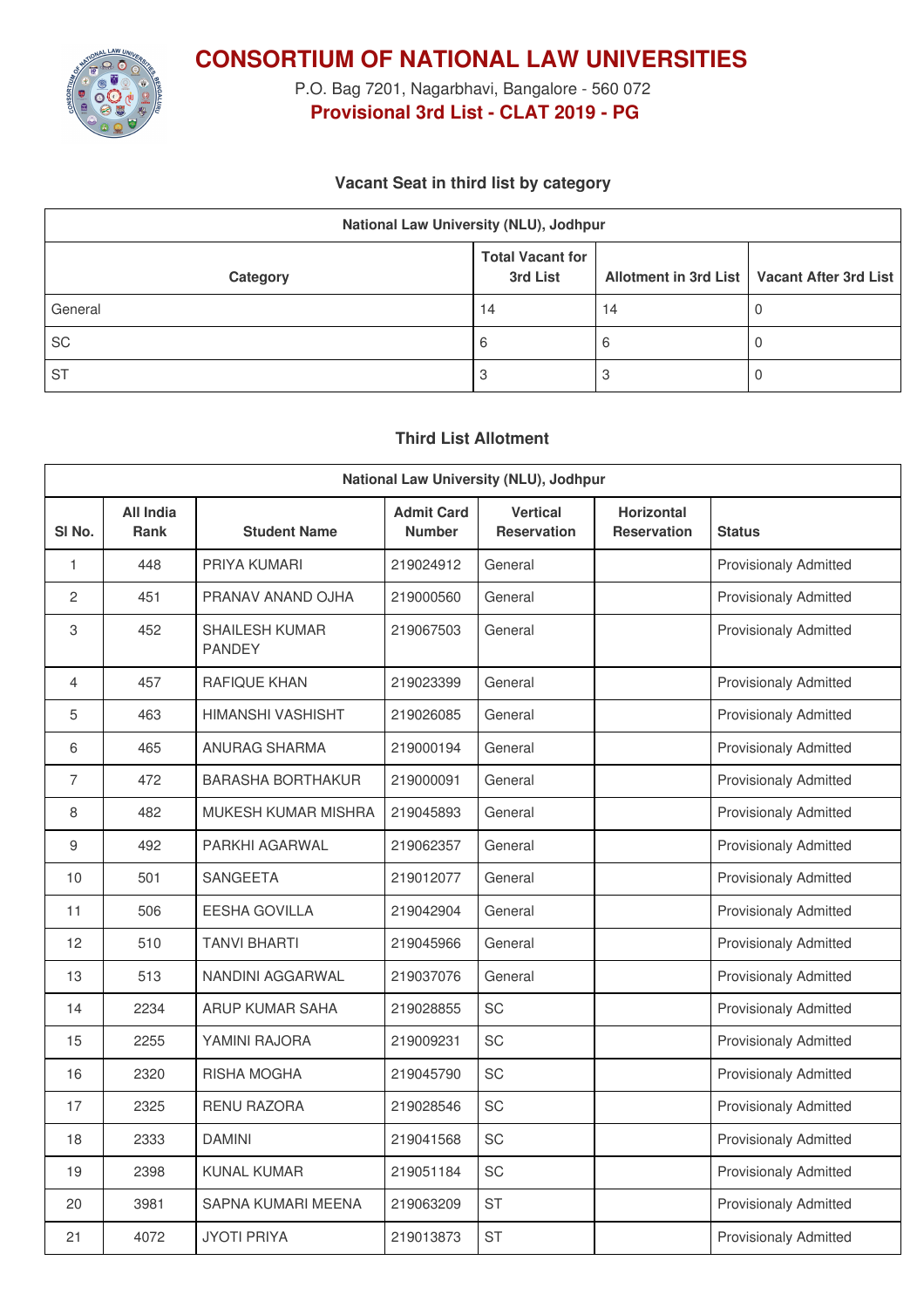

**CONSORTIUM OF NATIONAL LAW UNIVERSITIES**

P.O. Bag 7201, Nagarbhavi, Bangalore - 560 072 **Provisional 3rd List - CLAT 2019 - PG**

### **Vacant Seat in third list by category**

| National Law University (NLU), Jodhpur |                                     |    |                                               |  |  |
|----------------------------------------|-------------------------------------|----|-----------------------------------------------|--|--|
| Category                               | <b>Total Vacant for</b><br>3rd List |    | Allotment in 3rd List   Vacant After 3rd List |  |  |
| General                                | 14                                  | 14 |                                               |  |  |
| <b>SC</b>                              | b                                   | ь  |                                               |  |  |
| <b>ST</b>                              |                                     |    |                                               |  |  |

## **Third List Allotment**

| National Law University (NLU), Jodhpur |                          |                                        |                                    |                                       |                                         |                              |
|----------------------------------------|--------------------------|----------------------------------------|------------------------------------|---------------------------------------|-----------------------------------------|------------------------------|
| SI <sub>No.</sub>                      | All India<br><b>Rank</b> | <b>Student Name</b>                    | <b>Admit Card</b><br><b>Number</b> | <b>Vertical</b><br><b>Reservation</b> | <b>Horizontal</b><br><b>Reservation</b> | <b>Status</b>                |
| 1                                      | 448                      | PRIYA KUMARI                           | 219024912                          | General                               |                                         | <b>Provisionaly Admitted</b> |
| $\overline{2}$                         | 451                      | PRANAV ANAND OJHA                      | 219000560                          | General                               |                                         | <b>Provisionaly Admitted</b> |
| 3                                      | 452                      | <b>SHAILESH KUMAR</b><br><b>PANDEY</b> | 219067503                          | General                               |                                         | <b>Provisionaly Admitted</b> |
| 4                                      | 457                      | RAFIQUE KHAN                           | 219023399                          | General                               |                                         | <b>Provisionaly Admitted</b> |
| 5                                      | 463                      | HIMANSHI VASHISHT                      | 219026085                          | General                               |                                         | <b>Provisionaly Admitted</b> |
| 6                                      | 465                      | <b>ANURAG SHARMA</b>                   | 219000194                          | General                               |                                         | <b>Provisionaly Admitted</b> |
| $\overline{7}$                         | 472                      | <b>BARASHA BORTHAKUR</b>               | 219000091                          | General                               |                                         | <b>Provisionaly Admitted</b> |
| 8                                      | 482                      | <b>MUKESH KUMAR MISHRA</b>             | 219045893                          | General                               |                                         | <b>Provisionaly Admitted</b> |
| 9                                      | 492                      | PARKHI AGARWAL                         | 219062357                          | General                               |                                         | <b>Provisionaly Admitted</b> |
| 10                                     | 501                      | <b>SANGEETA</b>                        | 219012077                          | General                               |                                         | <b>Provisionaly Admitted</b> |
| 11                                     | 506                      | <b>EESHA GOVILLA</b>                   | 219042904                          | General                               |                                         | <b>Provisionaly Admitted</b> |
| 12                                     | 510                      | <b>TANVI BHARTI</b>                    | 219045966                          | General                               |                                         | <b>Provisionaly Admitted</b> |
| 13                                     | 513                      | NANDINI AGGARWAL                       | 219037076                          | General                               |                                         | <b>Provisionaly Admitted</b> |
| 14                                     | 2234                     | ARUP KUMAR SAHA                        | 219028855                          | SC                                    |                                         | <b>Provisionaly Admitted</b> |
| 15                                     | 2255                     | YAMINI RAJORA                          | 219009231                          | <b>SC</b>                             |                                         | <b>Provisionaly Admitted</b> |
| 16                                     | 2320                     | RISHA MOGHA                            | 219045790                          | SC                                    |                                         | <b>Provisionaly Admitted</b> |
| 17                                     | 2325                     | <b>RENU RAZORA</b>                     | 219028546                          | SC                                    |                                         | <b>Provisionaly Admitted</b> |
| 18                                     | 2333                     | <b>DAMINI</b>                          | 219041568                          | SC                                    |                                         | <b>Provisionaly Admitted</b> |
| 19                                     | 2398                     | <b>KUNAL KUMAR</b>                     | 219051184                          | SC                                    |                                         | Provisionaly Admitted        |
| 20                                     | 3981                     | SAPNA KUMARI MEENA                     | 219063209                          | <b>ST</b>                             |                                         | <b>Provisionaly Admitted</b> |
| 21                                     | 4072                     | <b>JYOTI PRIYA</b>                     | 219013873                          | <b>ST</b>                             |                                         | <b>Provisionaly Admitted</b> |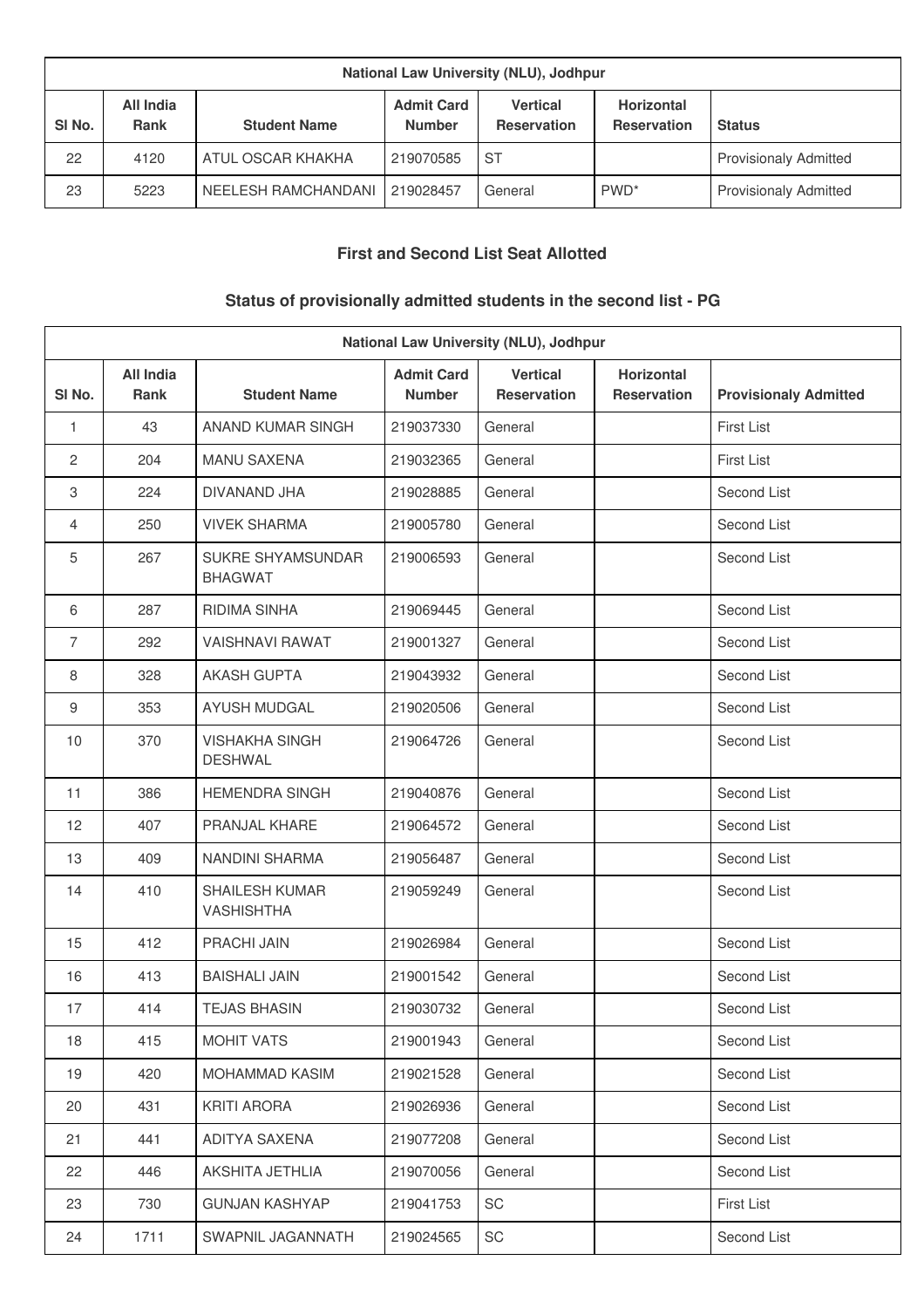| National Law University (NLU), Jodhpur |                          |                     |                                    |                                       |                                         |                              |
|----------------------------------------|--------------------------|---------------------|------------------------------------|---------------------------------------|-----------------------------------------|------------------------------|
| SI <sub>No.</sub>                      | All India<br><b>Rank</b> | <b>Student Name</b> | <b>Admit Card</b><br><b>Number</b> | <b>Vertical</b><br><b>Reservation</b> | <b>Horizontal</b><br><b>Reservation</b> | <b>Status</b>                |
| 22                                     | 4120                     | ATUL OSCAR KHAKHA   | 219070585                          | -ST                                   |                                         | <b>Provisionaly Admitted</b> |
| 23                                     | 5223                     | NEELESH RAMCHANDANI | 219028457                          | General                               | PWD <sup>*</sup>                        | <b>Provisionaly Admitted</b> |

## **First and Second List Seat Allotted**

# **Status of provisionally admitted students in the second list - PG**

| National Law University (NLU), Jodhpur |                                 |                                            |                                    |                                       |                                         |                              |
|----------------------------------------|---------------------------------|--------------------------------------------|------------------------------------|---------------------------------------|-----------------------------------------|------------------------------|
| SI No.                                 | <b>All India</b><br><b>Rank</b> | <b>Student Name</b>                        | <b>Admit Card</b><br><b>Number</b> | <b>Vertical</b><br><b>Reservation</b> | <b>Horizontal</b><br><b>Reservation</b> | <b>Provisionaly Admitted</b> |
| 1                                      | 43                              | ANAND KUMAR SINGH                          | 219037330                          | General                               |                                         | <b>First List</b>            |
| 2                                      | 204                             | <b>MANU SAXENA</b>                         | 219032365                          | General                               |                                         | First List                   |
| 3                                      | 224                             | DIVANAND JHA                               | 219028885                          | General                               |                                         | Second List                  |
| $\overline{4}$                         | 250                             | <b>VIVEK SHARMA</b>                        | 219005780                          | General                               |                                         | Second List                  |
| 5                                      | 267                             | SUKRE SHYAMSUNDAR<br><b>BHAGWAT</b>        | 219006593                          | General                               |                                         | Second List                  |
| 6                                      | 287                             | RIDIMA SINHA                               | 219069445                          | General                               |                                         | Second List                  |
| $\overline{7}$                         | 292                             | <b>VAISHNAVI RAWAT</b>                     | 219001327                          | General                               |                                         | Second List                  |
| 8                                      | 328                             | <b>AKASH GUPTA</b>                         | 219043932                          | General                               |                                         | Second List                  |
| 9                                      | 353                             | AYUSH MUDGAL                               | 219020506                          | General                               |                                         | Second List                  |
| 10                                     | 370                             | <b>VISHAKHA SINGH</b><br><b>DESHWAL</b>    | 219064726                          | General                               |                                         | Second List                  |
| 11                                     | 386                             | <b>HEMENDRA SINGH</b>                      | 219040876                          | General                               |                                         | Second List                  |
| 12                                     | 407                             | PRANJAL KHARE                              | 219064572                          | General                               |                                         | Second List                  |
| 13                                     | 409                             | NANDINI SHARMA                             | 219056487                          | General                               |                                         | Second List                  |
| 14                                     | 410                             | <b>SHAILESH KUMAR</b><br><b>VASHISHTHA</b> | 219059249                          | General                               |                                         | Second List                  |
| 15                                     | 412                             | <b>PRACHI JAIN</b>                         | 219026984                          | General                               |                                         | Second List                  |
| 16                                     | 413                             | <b>BAISHALI JAIN</b>                       | 219001542                          | General                               |                                         | Second List                  |
| 17                                     | 414                             | <b>TEJAS BHASIN</b>                        | 219030732                          | General                               |                                         | Second List                  |
| 18                                     | 415                             | <b>MOHIT VATS</b>                          | 219001943                          | General                               |                                         | Second List                  |
| 19                                     | 420                             | MOHAMMAD KASIM                             | 219021528                          | General                               |                                         | Second List                  |
| 20                                     | 431                             | <b>KRITI ARORA</b>                         | 219026936                          | General                               |                                         | Second List                  |
| 21                                     | 441                             | ADITYA SAXENA                              | 219077208                          | General                               |                                         | Second List                  |
| 22                                     | 446                             | AKSHITA JETHLIA                            | 219070056                          | General                               |                                         | Second List                  |
| 23                                     | 730                             | <b>GUNJAN KASHYAP</b>                      | 219041753                          | SC                                    |                                         | First List                   |
| 24                                     | 1711                            | SWAPNIL JAGANNATH                          | 219024565                          | SC                                    |                                         | Second List                  |